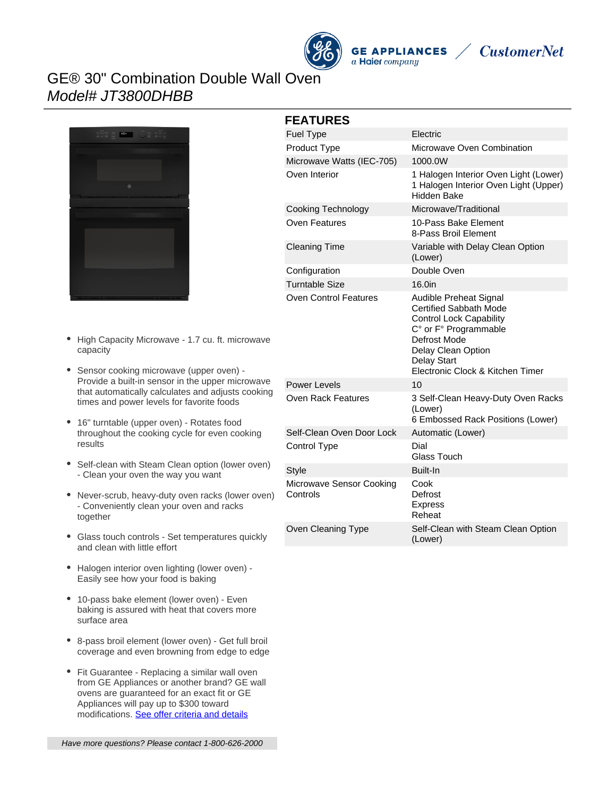

**GE APPLIANCES** a Haier company



## GE® 30" Combination Double Wall Oven Model# JT3800DHBB



#### **FEATURES**

| <b>Fuel Type</b>                     | Electric                                                                                                                                                                                                    |
|--------------------------------------|-------------------------------------------------------------------------------------------------------------------------------------------------------------------------------------------------------------|
| Product Type                         | Microwave Oven Combination                                                                                                                                                                                  |
| Microwave Watts (IEC-705)            | 1000.0W                                                                                                                                                                                                     |
| Oven Interior                        | 1 Halogen Interior Oven Light (Lower)<br>1 Halogen Interior Oven Light (Upper)<br>Hidden Bake                                                                                                               |
| Cooking Technology                   | Microwave/Traditional                                                                                                                                                                                       |
| Oven Features                        | 10-Pass Bake Element<br>8-Pass Broil Element                                                                                                                                                                |
| <b>Cleaning Time</b>                 | Variable with Delay Clean Option<br>(Lower)                                                                                                                                                                 |
| Configuration                        | Double Oven                                                                                                                                                                                                 |
| <b>Turntable Size</b>                | 16.0in                                                                                                                                                                                                      |
| Oven Control Features                | Audible Preheat Signal<br><b>Certified Sabbath Mode</b><br><b>Control Lock Capability</b><br>C° or F° Programmable<br>Defrost Mode<br>Delay Clean Option<br>Delay Start<br>Electronic Clock & Kitchen Timer |
| Power Levels                         | 10                                                                                                                                                                                                          |
| Oven Rack Features                   | 3 Self-Clean Heavy-Duty Oven Racks<br>(Lower)<br>6 Embossed Rack Positions (Lower)                                                                                                                          |
| Self-Clean Oven Door Lock            | Automatic (Lower)                                                                                                                                                                                           |
| Control Type                         | Dial<br>Glass Touch                                                                                                                                                                                         |
| <b>Style</b>                         | <b>Built-In</b>                                                                                                                                                                                             |
| Microwave Sensor Cooking<br>Controls | Cook<br>Defrost<br><b>Express</b><br>Reheat                                                                                                                                                                 |
| Oven Cleaning Type                   | Self-Clean with Steam Clean Option<br>(Lower)                                                                                                                                                               |

- High Capacity Microwave 1.7 cu. ft. microwave capacity
- Sensor cooking microwave (upper oven) Provide a built-in sensor in the upper microwave that automatically calculates and adjusts cooking times and power levels for favorite foods
- 16" turntable (upper oven) Rotates food throughout the cooking cycle for even cooking results
- Self-clean with Steam Clean option (lower oven) - Clean your oven the way you want
- Never-scrub, heavy-duty oven racks (lower oven) - Conveniently clean your oven and racks together
- Glass touch controls Set temperatures quickly and clean with little effort
- Halogen interior oven lighting (lower oven) -Easily see how your food is baking
- 10-pass bake element (lower oven) Even baking is assured with heat that covers more surface area
- 8-pass broil element (lower oven) Get full broil coverage and even browning from edge to edge
- Fit Guarantee Replacing a similar wall oven from GE Appliances or another brand? GE wall ovens are guaranteed for an exact fit or GE Appliances will pay up to \$300 toward modifications. [See offer criteria and details](http://www.geappliances.com/ge-fits)